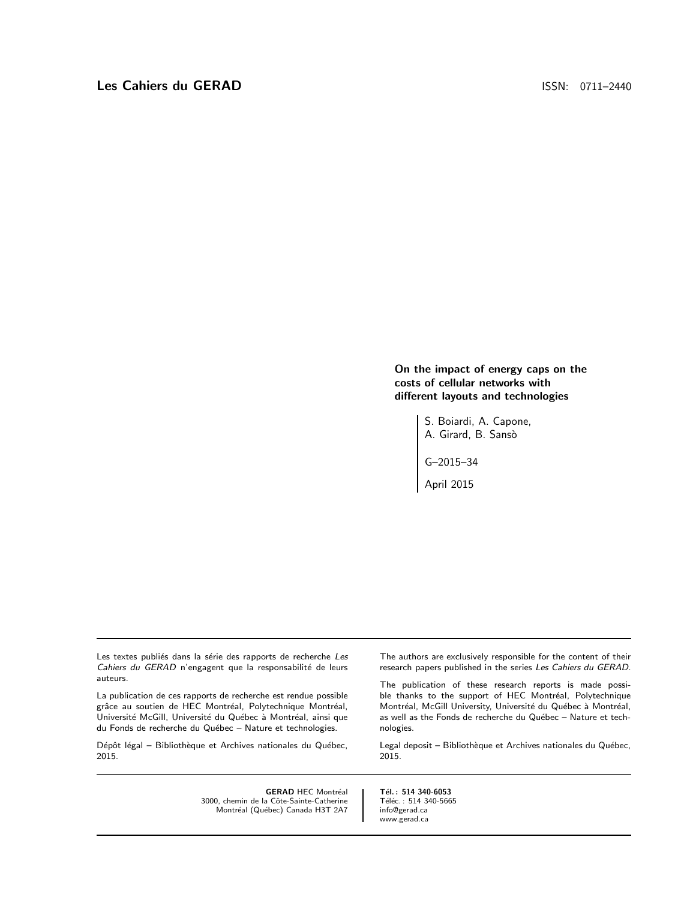On the impact of energy caps on the costs of cellular networks with different layouts and technologies

> S. Boiardi, A. Capone, A. Girard, B. Sansò

G–2015–34

April 2015

Les textes publiés dans la série des rapports de recherche Les Cahiers du GERAD n'engagent que la responsabilité de leurs auteurs.

La publication de ces rapports de recherche est rendue possible grâce au soutien de HEC Montréal, Polytechnique Montréal, Université McGill, Université du Québec à Montréal, ainsi que du Fonds de recherche du Québec - Nature et technologies.

Dépôt légal – Bibliothèque et Archives nationales du Québec, 2015.

> **GERAD HEC Montréal** 3000, chemin de la Côte-Sainte-Catherine Montréal (Québec) Canada H3T 2A7

The authors are exclusively responsible for the content of their research papers published in the series Les Cahiers du GERAD.

The publication of these research reports is made possible thanks to the support of HEC Montréal, Polytechnique Montréal, McGill University, Université du Québec à Montréal, as well as the Fonds de recherche du Québec - Nature et technologies.

Legal deposit – Bibliothèque et Archives nationales du Québec, 2015.

Tél.: 514 340-6053 Téléc.: 514 340-5665 info@gerad.ca www.gerad.ca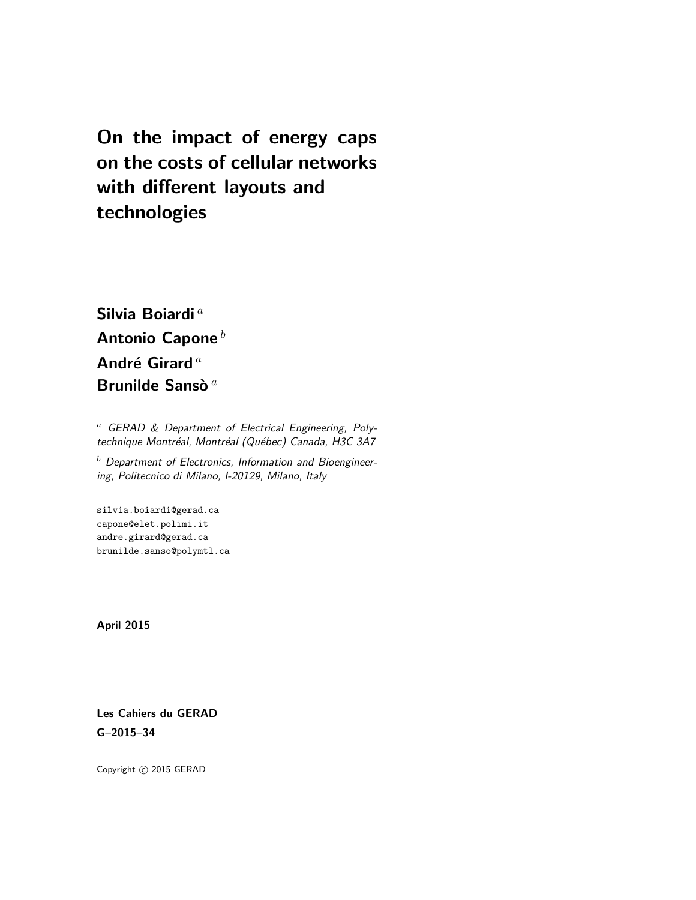On the impact of energy caps on the costs of cellular networks with different layouts and technologies

Silvia Boiardi<sup>a</sup> Antonio Capone $^b$ André Girard<sup>a</sup> Brunilde Sansò  $a$ 

<sup>a</sup> GERAD & Department of Electrical Engineering, Polytechnique Montréal, Montréal (Québec) Canada, H3C 3A7

 $<sup>b</sup>$  Department of Electronics, Information and Bioengineer-</sup> ing, Politecnico di Milano, I-20129, Milano, Italy

silvia.boiardi@gerad.ca capone@elet.polimi.it andre.girard@gerad.ca brunilde.sanso@polymtl.ca

April 2015

Les Cahiers du GERAD G–2015–34

Copyright  $\odot$  2015 GERAD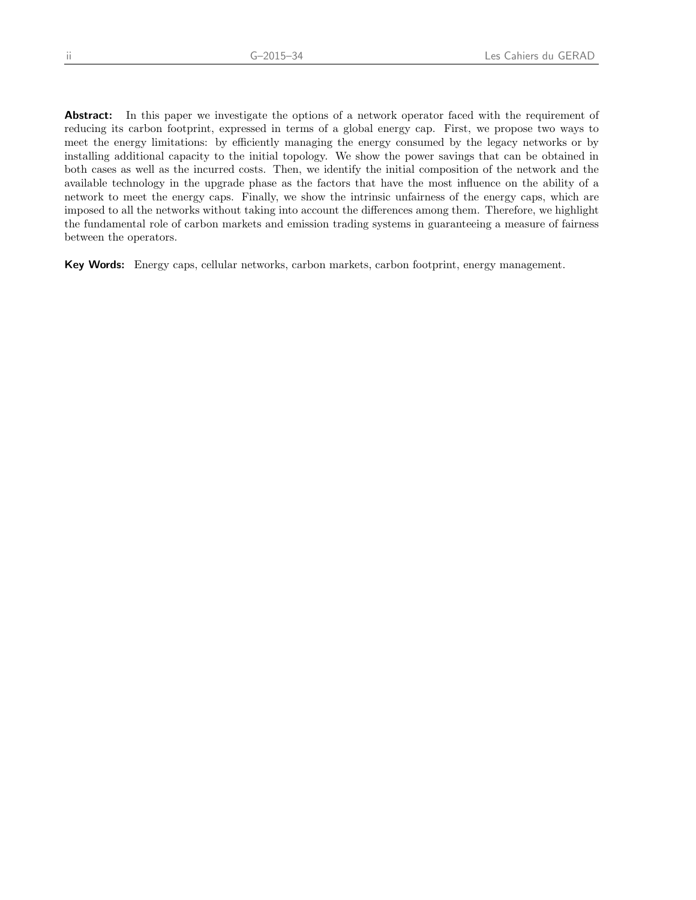Abstract: In this paper we investigate the options of a network operator faced with the requirement of reducing its carbon footprint, expressed in terms of a global energy cap. First, we propose two ways to meet the energy limitations: by efficiently managing the energy consumed by the legacy networks or by installing additional capacity to the initial topology. We show the power savings that can be obtained in both cases as well as the incurred costs. Then, we identify the initial composition of the network and the available technology in the upgrade phase as the factors that have the most influence on the ability of a network to meet the energy caps. Finally, we show the intrinsic unfairness of the energy caps, which are imposed to all the networks without taking into account the differences among them. Therefore, we highlight the fundamental role of carbon markets and emission trading systems in guaranteeing a measure of fairness between the operators.

Key Words: Energy caps, cellular networks, carbon markets, carbon footprint, energy management.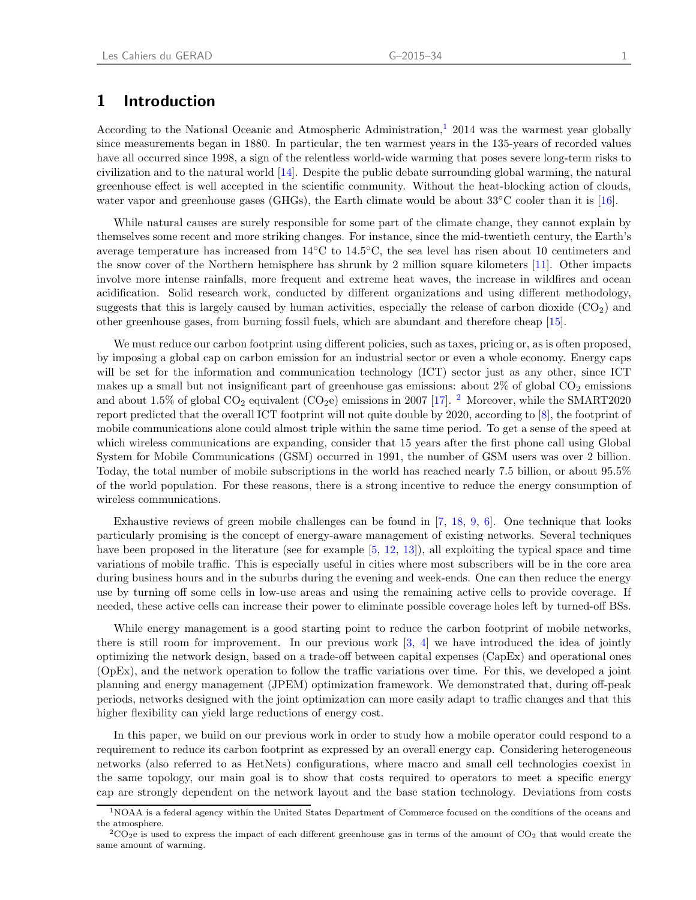### 1 Introduction

According to the National Oceanic and Atmospheric Administration,<sup>[1](#page-4-0)</sup> 2014 was the warmest year globally since measurements began in 1880. In particular, the ten warmest years in the 135-years of recorded values have all occurred since 1998, a sign of the relentless world-wide warming that poses severe long-term risks to civilization and to the natural world [\[14\]](#page-19-0). Despite the public debate surrounding global warming, the natural greenhouse effect is well accepted in the scientific community. Without the heat-blocking action of clouds, water vapor and greenhouse gases (GHGs), the Earth climate would be about 33◦C cooler than it is [\[16\]](#page-19-1).

While natural causes are surely responsible for some part of the climate change, they cannot explain by themselves some recent and more striking changes. For instance, since the mid-twentieth century, the Earth's average temperature has increased from 14◦C to 14.5◦C, the sea level has risen about 10 centimeters and the snow cover of the Northern hemisphere has shrunk by 2 million square kilometers [\[11\]](#page-19-2). Other impacts involve more intense rainfalls, more frequent and extreme heat waves, the increase in wildfires and ocean acidification. Solid research work, conducted by different organizations and using different methodology, suggests that this is largely caused by human activities, especially the release of carbon dioxide  $(CO_2)$  and other greenhouse gases, from burning fossil fuels, which are abundant and therefore cheap [\[15](#page-19-3)].

We must reduce our carbon footprint using different policies, such as taxes, pricing or, as is often proposed, by imposing a global cap on carbon emission for an industrial sector or even a whole economy. Energy caps will be set for the information and communication technology (ICT) sector just as any other, since ICT makes up a small but not insignificant part of greenhouse gas emissions: about  $2\%$  of global  $CO<sub>2</sub>$  emissions and about 1.5% of global  $CO_2$  $CO_2$  equivalent  $(CO_2e)$  emissions in 2007 [\[17\]](#page-19-4). <sup>2</sup> Moreover, while the SMART2020 report predicted that the overall ICT footprint will not quite double by 2020, according to [\[8](#page-19-5)], the footprint of mobile communications alone could almost triple within the same time period. To get a sense of the speed at which wireless communications are expanding, consider that 15 years after the first phone call using Global System for Mobile Communications (GSM) occurred in 1991, the number of GSM users was over 2 billion. Today, the total number of mobile subscriptions in the world has reached nearly 7.5 billion, or about 95.5% of the world population. For these reasons, there is a strong incentive to reduce the energy consumption of wireless communications.

Exhaustive reviews of green mobile challenges can be found in  $[7, 18, 9, 6]$  $[7, 18, 9, 6]$  $[7, 18, 9, 6]$  $[7, 18, 9, 6]$  $[7, 18, 9, 6]$  $[7, 18, 9, 6]$  $[7, 18, 9, 6]$ . One technique that looks particularly promising is the concept of energy-aware management of existing networks. Several techniques have been proposed in the literature (see for example [\[5,](#page-19-10) [12](#page-19-11), [13\]](#page-19-12)), all exploiting the typical space and time variations of mobile traffic. This is especially useful in cities where most subscribers will be in the core area during business hours and in the suburbs during the evening and week-ends. One can then reduce the energy use by turning off some cells in low-use areas and using the remaining active cells to provide coverage. If needed, these active cells can increase their power to eliminate possible coverage holes left by turned-off BSs.

While energy management is a good starting point to reduce the carbon footprint of mobile networks, there is still room for improvement. In our previous work  $\left[3, 4\right]$  $\left[3, 4\right]$  $\left[3, 4\right]$  we have introduced the idea of jointly optimizing the network design, based on a trade-off between capital expenses (CapEx) and operational ones (OpEx), and the network operation to follow the traffic variations over time. For this, we developed a joint planning and energy management (JPEM) optimization framework. We demonstrated that, during off-peak periods, networks designed with the joint optimization can more easily adapt to traffic changes and that this higher flexibility can yield large reductions of energy cost.

In this paper, we build on our previous work in order to study how a mobile operator could respond to a requirement to reduce its carbon footprint as expressed by an overall energy cap. Considering heterogeneous networks (also referred to as HetNets) configurations, where macro and small cell technologies coexist in the same topology, our main goal is to show that costs required to operators to meet a specific energy cap are strongly dependent on the network layout and the base station technology. Deviations from costs

<span id="page-4-0"></span><sup>1</sup>NOAA is a federal agency within the United States Department of Commerce focused on the conditions of the oceans and the atmosphere.

<span id="page-4-1"></span> $2\text{CO}_2$ e is used to express the impact of each different greenhouse gas in terms of the amount of CO<sub>2</sub> that would create the same amount of warming.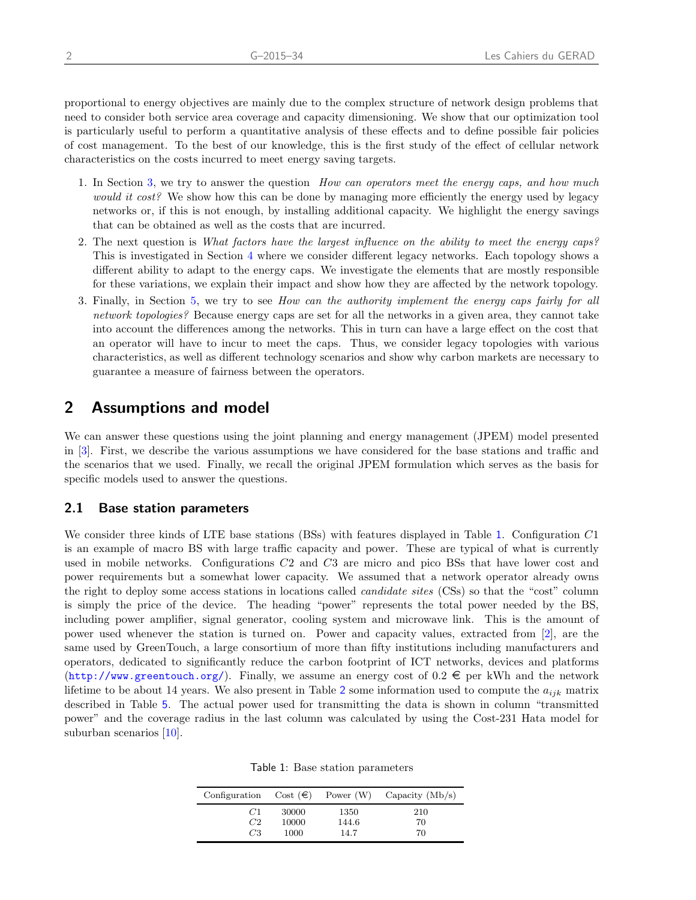proportional to energy objectives are mainly due to the complex structure of network design problems that need to consider both service area coverage and capacity dimensioning. We show that our optimization tool is particularly useful to perform a quantitative analysis of these effects and to define possible fair policies of cost management. To the best of our knowledge, this is the first study of the effect of cellular network characteristics on the costs incurred to meet energy saving targets.

- 1. In Section [3,](#page-8-0) we try to answer the question How can operators meet the energy caps, and how much would it cost? We show how this can be done by managing more efficiently the energy used by legacy networks or, if this is not enough, by installing additional capacity. We highlight the energy savings that can be obtained as well as the costs that are incurred.
- 2. The next question is What factors have the largest influence on the ability to meet the energy caps? This is investigated in Section [4](#page-11-0) where we consider different legacy networks. Each topology shows a different ability to adapt to the energy caps. We investigate the elements that are mostly responsible for these variations, we explain their impact and show how they are affected by the network topology.
- 3. Finally, in Section [5,](#page-13-0) we try to see How can the authority implement the energy caps fairly for all network topologies? Because energy caps are set for all the networks in a given area, they cannot take into account the differences among the networks. This in turn can have a large effect on the cost that an operator will have to incur to meet the caps. Thus, we consider legacy topologies with various characteristics, as well as different technology scenarios and show why carbon markets are necessary to guarantee a measure of fairness between the operators.

### 2 Assumptions and model

We can answer these questions using the joint planning and energy management (JPEM) model presented in [\[3\]](#page-19-13). First, we describe the various assumptions we have considered for the base stations and traffic and the scenarios that we used. Finally, we recall the original JPEM formulation which serves as the basis for specific models used to answer the questions.

### 2.1 Base station parameters

We consider three kinds of LTE base stations (BSs) with features displayed in Table [1](#page-5-0). Configuration C1 is an example of macro BS with large traffic capacity and power. These are typical of what is currently used in mobile networks. Configurations C2 and C3 are micro and pico BSs that have lower cost and power requirements but a somewhat lower capacity. We assumed that a network operator already owns the right to deploy some access stations in locations called candidate sites (CSs) so that the "cost" column is simply the price of the device. The heading "power" represents the total power needed by the BS, including power amplifier, signal generator, cooling system and microwave link. This is the amount of power used whenever the station is turned on. Power and capacity values, extracted from [\[2](#page-19-15)], are the same used by GreenTouch, a large consortium of more than fifty institutions including manufacturers and operators, dedicated to significantly reduce the carbon footprint of ICT networks, devices and platforms  $(\text{http://www.greentouch.org/})$  $(\text{http://www.greentouch.org/})$  $(\text{http://www.greentouch.org/})$ . Finally, we assume an energy cost of  $0.2 \in \text{per kWh}$  and the network lifetime to be about 14 years. We also present in Table [2](#page-6-0) some information used to compute the  $a_{ijk}$  matrix described in Table [5](#page-7-0). The actual power used for transmitting the data is shown in column "transmitted power" and the coverage radius in the last column was calculated by using the Cost-231 Hata model for suburban scenarios [\[10\]](#page-19-16).

Table 1: Base station parameters

<span id="page-5-0"></span>

| Configuration Cost $(\epsilon)$ |       | Power (W) | Capacity $(Mb/s)$ |
|---------------------------------|-------|-----------|-------------------|
| C1                              | 30000 | 1350      | 210               |
| C2                              | 10000 | 144.6     | 70                |
| C <sub>3</sub>                  | 1000  | 14.7      | 70                |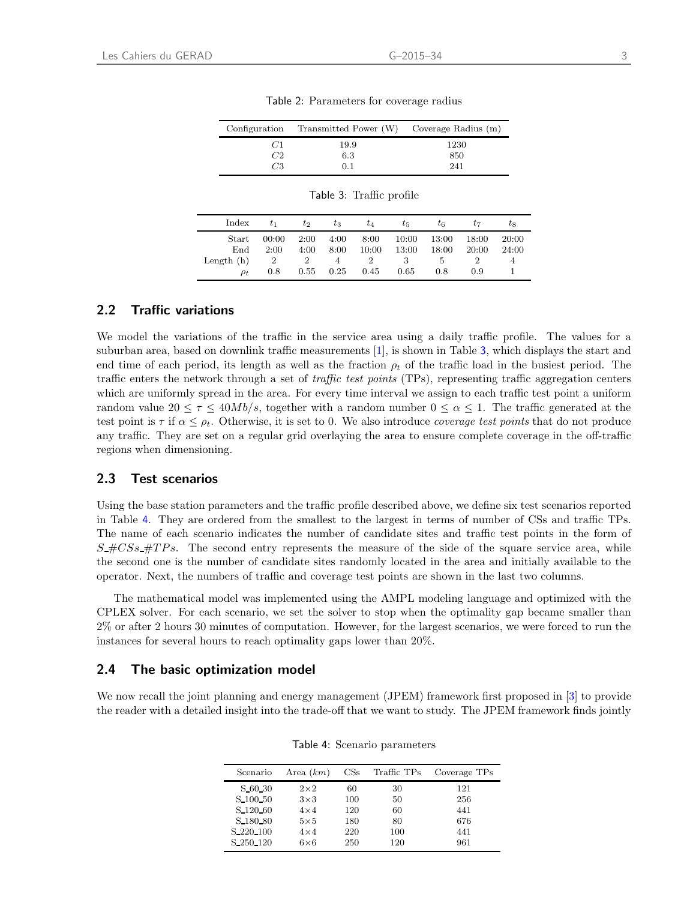<span id="page-6-0"></span>

|            | Configuration Transmitted Power (W) Coverage Radius (m) |            |
|------------|---------------------------------------------------------|------------|
| 67 L<br>C2 | 19.9                                                    | 1230       |
| C3         | 6.3<br>0.1                                              | 850<br>241 |

Table 2: Parameters for coverage radius

<span id="page-6-1"></span>

| Index                    | tı                    | $t_2$        | $t_3$        | $t_4$         | $t_{5}$        | $t_6$               | t7             | t8             |
|--------------------------|-----------------------|--------------|--------------|---------------|----------------|---------------------|----------------|----------------|
| Start<br>End             | 00:00<br>2:00         | 2:00<br>4:00 | 4:00<br>8:00 | 8:00<br>10:00 | 10:00<br>13:00 | 13:00<br>18:00      | 18:00<br>20:00 | 20:00<br>24:00 |
| Length $(h)$<br>$\rho_t$ | $\overline{2}$<br>0.8 | 2<br>0.55    | 4<br>0.25    | 2<br>0.45     | 3<br>0.65      | <sup>5</sup><br>0.8 | 0.9            | 4              |

### 2.2 Traffic variations

We model the variations of the traffic in the service area using a daily traffic profile. The values for a suburban area, based on downlink traffic measurements [\[1](#page-19-17)], is shown in Table [3](#page-6-1), which displays the start and end time of each period, its length as well as the fraction  $\rho_t$  of the traffic load in the busiest period. The traffic enters the network through a set of traffic test points (TPs), representing traffic aggregation centers which are uniformly spread in the area. For every time interval we assign to each traffic test point a uniform random value  $20 \leq \tau \leq 40Mb/s$ , together with a random number  $0 \leq \alpha \leq 1$ . The traffic generated at the test point is  $\tau$  if  $\alpha \leq \rho_t$ . Otherwise, it is set to 0. We also introduce *coverage test points* that do not produce any traffic. They are set on a regular grid overlaying the area to ensure complete coverage in the off-traffic regions when dimensioning.

### 2.3 Test scenarios

Using the base station parameters and the traffic profile described above, we define six test scenarios reported in Table [4](#page-6-2). They are ordered from the smallest to the largest in terms of number of CSs and traffic TPs. The name of each scenario indicates the number of candidate sites and traffic test points in the form of  $S_{\text{H}}CS_{\text{S}}$  = The second entry represents the measure of the side of the square service area, while the second one is the number of candidate sites randomly located in the area and initially available to the operator. Next, the numbers of traffic and coverage test points are shown in the last two columns.

The mathematical model was implemented using the AMPL modeling language and optimized with the CPLEX solver. For each scenario, we set the solver to stop when the optimality gap became smaller than 2% or after 2 hours 30 minutes of computation. However, for the largest scenarios, we were forced to run the instances for several hours to reach optimality gaps lower than 20%.

#### <span id="page-6-3"></span>2.4 The basic optimization model

<span id="page-6-2"></span>We now recall the joint planning and energy management (JPEM) framework first proposed in [\[3\]](#page-19-13) to provide the reader with a detailed insight into the trade-off that we want to study. The JPEM framework finds jointly

| Scenario            | Area $(km)$ | CSs | Traffic TPs | Coverage TPs |
|---------------------|-------------|-----|-------------|--------------|
| S 60 30             | $2\times 2$ | 60  | 30          | 121          |
| S <sub>100</sub> 50 | $3\times3$  | 100 | 50          | 256          |
| S <sub>120</sub> 60 | $4\times4$  | 120 | 60          | 441          |
| S <sub>180</sub> 80 | $5\times5$  | 180 | 80          | 676          |
| S 220 100           | $4\times4$  | 220 | 100         | 441          |
| S 250 120           | $6\times 6$ | 250 | 120         | 961          |

Table 4: Scenario parameters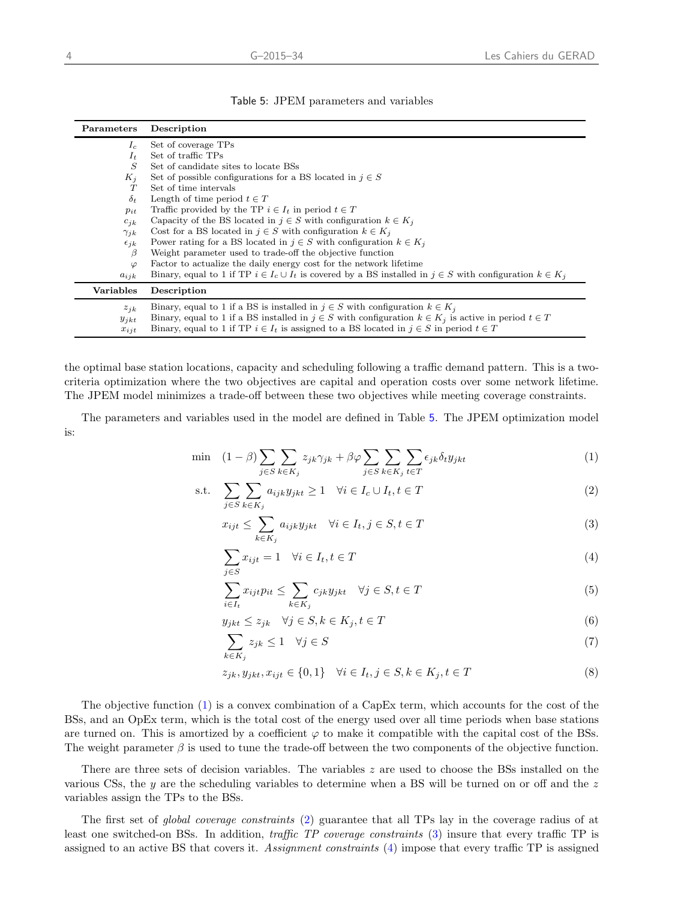<span id="page-7-0"></span>

| Parameters                         | Description                                                                                                                                                                                                                                                                                                |
|------------------------------------|------------------------------------------------------------------------------------------------------------------------------------------------------------------------------------------------------------------------------------------------------------------------------------------------------------|
| $I_c$                              | Set of coverage TPs                                                                                                                                                                                                                                                                                        |
| $I_t$                              | Set of traffic TPs                                                                                                                                                                                                                                                                                         |
| S                                  | Set of candidate sites to locate BSs                                                                                                                                                                                                                                                                       |
| $K_j$                              | Set of possible configurations for a BS located in $j \in S$                                                                                                                                                                                                                                               |
| T                                  | Set of time intervals                                                                                                                                                                                                                                                                                      |
| $\delta_t$                         | Length of time period $t \in T$                                                                                                                                                                                                                                                                            |
| $p_{it}$                           | Traffic provided by the TP $i \in I_t$ in period $t \in T$                                                                                                                                                                                                                                                 |
| $c_{ik}$                           | Capacity of the BS located in $j \in S$ with configuration $k \in K_i$                                                                                                                                                                                                                                     |
| $\gamma_{jk}$                      | Cost for a BS located in $j \in S$ with configuration $k \in K_i$                                                                                                                                                                                                                                          |
| $\epsilon_{ik}$                    | Power rating for a BS located in $j \in S$ with configuration $k \in K_i$                                                                                                                                                                                                                                  |
| β                                  | Weight parameter used to trade-off the objective function                                                                                                                                                                                                                                                  |
| $\varphi$                          | Factor to actualize the daily energy cost for the network lifetime                                                                                                                                                                                                                                         |
| $a_{ijk}$                          | Binary, equal to 1 if TP $i \in I_c \cup I_t$ is covered by a BS installed in $j \in S$ with configuration $k \in K_i$                                                                                                                                                                                     |
| Variables                          | Description                                                                                                                                                                                                                                                                                                |
| $z_{ik}$<br>$y_{jkt}$<br>$x_{ijt}$ | Binary, equal to 1 if a BS is installed in $j \in S$ with configuration $k \in K_j$<br>Binary, equal to 1 if a BS installed in $j \in S$ with configuration $k \in K_j$ is active in period $t \in T$<br>Binary, equal to 1 if TP $i \in I_t$ is assigned to a BS located in $j \in S$ in period $t \in T$ |

the optimal base station locations, capacity and scheduling following a traffic demand pattern. This is a twocriteria optimization where the two objectives are capital and operation costs over some network lifetime. The JPEM model minimizes a trade-off between these two objectives while meeting coverage constraints.

The parameters and variables used in the model are defined in Table [5](#page-7-0). The JPEM optimization model is:

$$
\min \quad (1 - \beta) \sum_{j \in S} \sum_{k \in K_j} z_{jk} \gamma_{jk} + \beta \varphi \sum_{j \in S} \sum_{k \in K_j} \sum_{t \in T} \epsilon_{jk} \delta_t y_{jkt} \tag{1}
$$

s.t. 
$$
\sum_{j \in S} \sum_{k \in K_j} a_{ijk} y_{jkt} \ge 1 \quad \forall i \in I_c \cup I_t, t \in T
$$
 (2)

<span id="page-7-2"></span><span id="page-7-1"></span>
$$
x_{ijt} \le \sum_{k \in K_j} a_{ijk} y_{jkt} \quad \forall i \in I_t, j \in S, t \in T
$$
\n
$$
(3)
$$

<span id="page-7-3"></span>
$$
\sum_{j \in S} x_{ijt} = 1 \quad \forall i \in I_t, t \in T \tag{4}
$$

<span id="page-7-5"></span><span id="page-7-4"></span>
$$
\sum_{i \in I_t} x_{ijt} p_{it} \le \sum_{k \in K_j} c_{jk} y_{jkt} \quad \forall j \in S, t \in T
$$
\n
$$
(5)
$$

<span id="page-7-7"></span><span id="page-7-6"></span>
$$
y_{jkt} \le z_{jk} \quad \forall j \in S, k \in K_j, t \in T \tag{6}
$$

$$
\sum_{k \in K_i} z_{jk} \le 1 \quad \forall j \in S \tag{7}
$$

<span id="page-7-8"></span>
$$
z_{jk}, y_{jkt}, x_{ijt} \in \{0, 1\} \quad \forall i \in I_t, j \in S, k \in K_j, t \in T
$$
\n
$$
(8)
$$

The objective function [\(1\)](#page-7-1) is a convex combination of a CapEx term, which accounts for the cost of the BSs, and an OpEx term, which is the total cost of the energy used over all time periods when base stations are turned on. This is amortized by a coefficient  $\varphi$  to make it compatible with the capital cost of the BSs. The weight parameter  $\beta$  is used to tune the trade-off between the two components of the objective function.

There are three sets of decision variables. The variables z are used to choose the BSs installed on the various CSs, the  $y$  are the scheduling variables to determine when a BS will be turned on or off and the  $z$ variables assign the TPs to the BSs.

The first set of global coverage constraints [\(2\)](#page-7-2) guarantee that all TPs lay in the coverage radius of at least one switched-on BSs. In addition, traffic TP coverage constraints [\(3\)](#page-7-3) insure that every traffic TP is assigned to an active BS that covers it. Assignment constraints [\(4\)](#page-7-4) impose that every traffic TP is assigned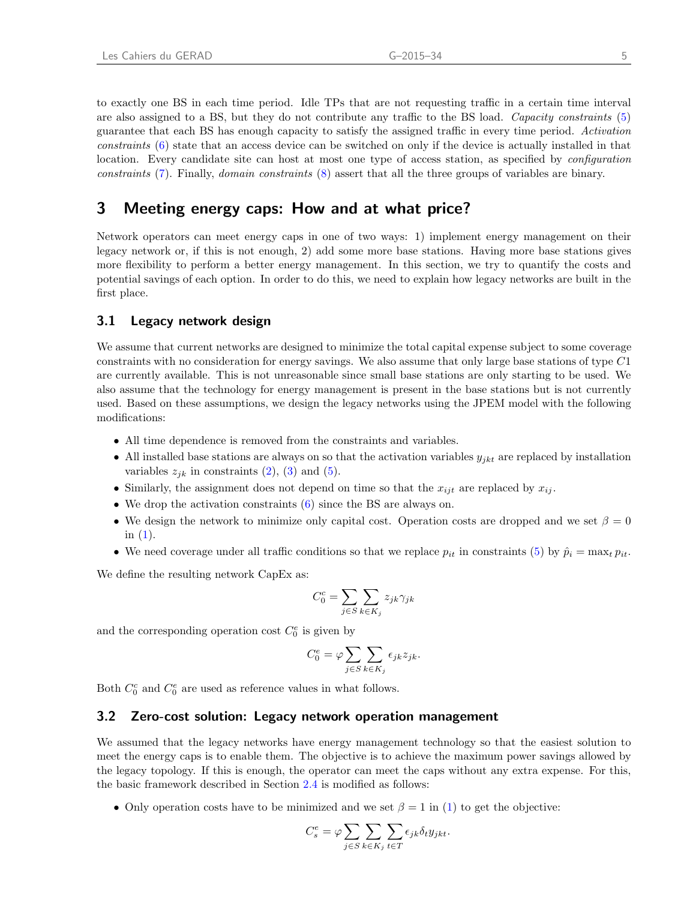to exactly one BS in each time period. Idle TPs that are not requesting traffic in a certain time interval are also assigned to a BS, but they do not contribute any traffic to the BS load. Capacity constraints [\(5\)](#page-7-5) guarantee that each BS has enough capacity to satisfy the assigned traffic in every time period. Activation constraints [\(6\)](#page-7-6) state that an access device can be switched on only if the device is actually installed in that location. Every candidate site can host at most one type of access station, as specified by *configuration* constraints [\(7\)](#page-7-7). Finally, domain constraints [\(8\)](#page-7-8) assert that all the three groups of variables are binary.

# <span id="page-8-0"></span>3 Meeting energy caps: How and at what price?

Network operators can meet energy caps in one of two ways: 1) implement energy management on their legacy network or, if this is not enough, 2) add some more base stations. Having more base stations gives more flexibility to perform a better energy management. In this section, we try to quantify the costs and potential savings of each option. In order to do this, we need to explain how legacy networks are built in the first place.

### 3.1 Legacy network design

We assume that current networks are designed to minimize the total capital expense subject to some coverage constraints with no consideration for energy savings. We also assume that only large base stations of type C1 are currently available. This is not unreasonable since small base stations are only starting to be used. We also assume that the technology for energy management is present in the base stations but is not currently used. Based on these assumptions, we design the legacy networks using the JPEM model with the following modifications:

- All time dependence is removed from the constraints and variables.
- All installed base stations are always on so that the activation variables  $y_{jkt}$  are replaced by installation variables  $z_{jk}$  in constraints [\(2\)](#page-7-2), [\(3\)](#page-7-3) and [\(5\)](#page-7-5).
- Similarly, the assignment does not depend on time so that the  $x_{ijt}$  are replaced by  $x_{ij}$ .
- We drop the activation constraints  $(6)$  since the BS are always on.
- We design the network to minimize only capital cost. Operation costs are dropped and we set  $\beta = 0$ in  $(1)$ .
- We need coverage under all traffic conditions so that we replace  $p_{it}$  in constraints [\(5\)](#page-7-5) by  $\hat{p}_i = \max_t p_{it}$ .

We define the resulting network CapEx as:

$$
C_0^c = \sum_{j \in S} \sum_{k \in K_j} z_{jk} \gamma_{jk}
$$

and the corresponding operation cost  $C_0^e$  is given by

$$
C_0^e = \varphi \sum_{j \in S} \sum_{k \in K_j} \epsilon_{jk} z_{jk}.
$$

<span id="page-8-1"></span>Both  $C_0^c$  and  $C_0^e$  are used as reference values in what follows.

#### 3.2 Zero-cost solution: Legacy network operation management

We assumed that the legacy networks have energy management technology so that the easiest solution to meet the energy caps is to enable them. The objective is to achieve the maximum power savings allowed by the legacy topology. If this is enough, the operator can meet the caps without any extra expense. For this, the basic framework described in Section [2.4](#page-6-3) is modified as follows:

• Only operation costs have to be minimized and we set  $\beta = 1$  in [\(1\)](#page-7-1) to get the objective:

$$
C_s^e = \varphi \sum_{j \in S} \sum_{k \in K_j} \sum_{t \in T} \epsilon_{jk} \delta_t y_{jkt}.
$$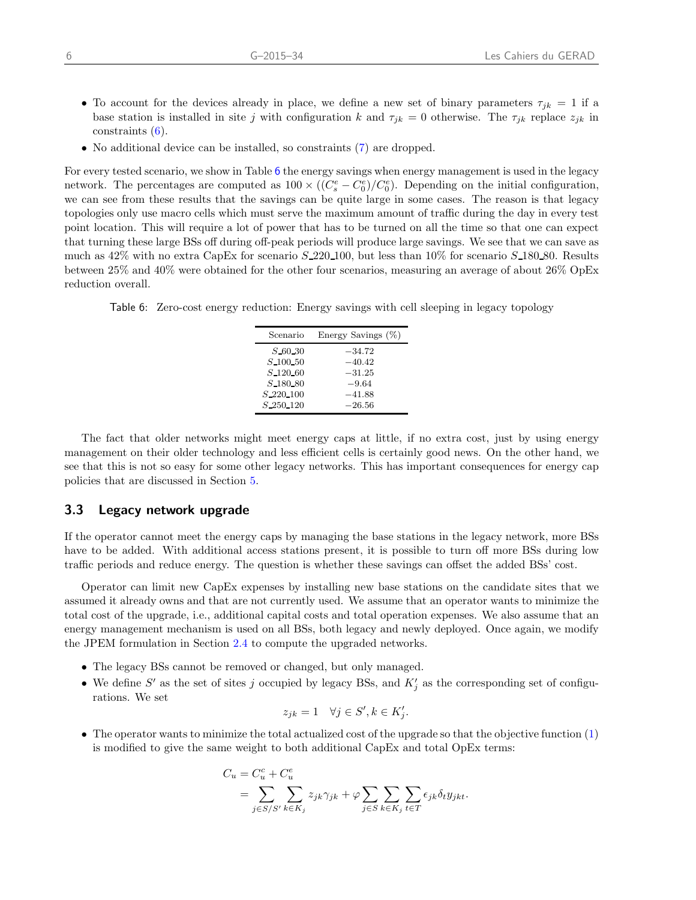- To account for the devices already in place, we define a new set of binary parameters  $\tau_{jk} = 1$  if a base station is installed in site j with configuration k and  $\tau_{jk} = 0$  otherwise. The  $\tau_{jk}$  replace  $z_{jk}$  in constraints [\(6\)](#page-7-6).
- No additional device can be installed, so constraints [\(7\)](#page-7-7) are dropped.

For every tested scenario, we show in Table [6](#page-9-0) the energy savings when energy management is used in the legacy network. The percentages are computed as  $100 \times ((C_s^e - C_0^e)/C_0^e)$ . Depending on the initial configuration, we can see from these results that the savings can be quite large in some cases. The reason is that legacy topologies only use macro cells which must serve the maximum amount of traffic during the day in every test point location. This will require a lot of power that has to be turned on all the time so that one can expect that turning these large BSs off during off-peak periods will produce large savings. We see that we can save as much as  $42\%$  with no extra CapEx for scenario  $S_220_100$ , but less than  $10\%$  for scenario  $S_180_180$ . Results between 25% and 40% were obtained for the other four scenarios, measuring an average of about 26% OpEx reduction overall.

<span id="page-9-0"></span>Table 6: Zero-cost energy reduction: Energy savings with cell sleeping in legacy topology

| Scenario                 | Energy Savings (%) |
|--------------------------|--------------------|
| S.60.30                  | $-34.72$           |
| $S$ 100 50               | $-40.42$           |
| $S_{-120-60}$            | $-31.25$           |
| $S_{-180-80}$            | $-9.64$            |
| $S$ <sub>220</sub> $100$ | $-41.88$           |
| $S_2$ -250 $-120$        | $-26.56$           |

The fact that older networks might meet energy caps at little, if no extra cost, just by using energy management on their older technology and less efficient cells is certainly good news. On the other hand, we see that this is not so easy for some other legacy networks. This has important consequences for energy cap policies that are discussed in Section [5.](#page-13-0)

### <span id="page-9-1"></span>3.3 Legacy network upgrade

If the operator cannot meet the energy caps by managing the base stations in the legacy network, more BSs have to be added. With additional access stations present, it is possible to turn off more BSs during low traffic periods and reduce energy. The question is whether these savings can offset the added BSs' cost.

Operator can limit new CapEx expenses by installing new base stations on the candidate sites that we assumed it already owns and that are not currently used. We assume that an operator wants to minimize the total cost of the upgrade, i.e., additional capital costs and total operation expenses. We also assume that an energy management mechanism is used on all BSs, both legacy and newly deployed. Once again, we modify the JPEM formulation in Section [2.4](#page-6-3) to compute the upgraded networks.

- The legacy BSs cannot be removed or changed, but only managed.
- We define S' as the set of sites j occupied by legacy BSs, and  $K'_{j}$  as the corresponding set of configurations. We set

$$
z_{jk} = 1 \quad \forall j \in S', k \in K'_j.
$$

• The operator wants to minimize the total actualized cost of the upgrade so that the objective function [\(1\)](#page-7-1) is modified to give the same weight to both additional CapEx and total OpEx terms:

$$
C_u = C_u^c + C_u^e
$$
  
= 
$$
\sum_{j \in S/S'} \sum_{k \in K_j} z_{jk} \gamma_{jk} + \varphi \sum_{j \in S} \sum_{k \in K_j} \sum_{t \in T} \epsilon_{jk} \delta_t y_{jkt}.
$$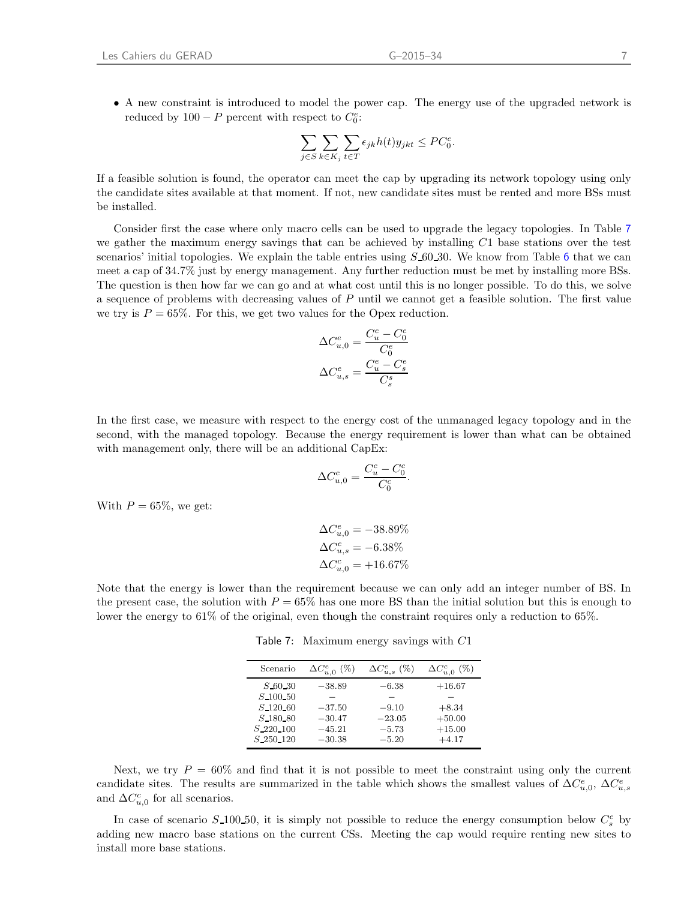• A new constraint is introduced to model the power cap. The energy use of the upgraded network is reduced by  $100 - P$  percent with respect to  $C_0^e$ :

$$
\sum_{j \in S} \sum_{k \in K_j} \sum_{t \in T} \epsilon_{jk} h(t) y_{jkt} \leq PC_0^e.
$$

If a feasible solution is found, the operator can meet the cap by upgrading its network topology using only the candidate sites available at that moment. If not, new candidate sites must be rented and more BSs must be installed.

Consider first the case where only macro cells can be used to upgrade the legacy topologies. In Table [7](#page-10-0) we gather the maximum energy savings that can be achieved by installing  $C1$  base stations over the test scenarios' initial topologies. We explain the table entries using  $S$  [6](#page-9-0)0.30. We know from Table 6 that we can meet a cap of 34.7% just by energy management. Any further reduction must be met by installing more BSs. The question is then how far we can go and at what cost until this is no longer possible. To do this, we solve a sequence of problems with decreasing values of  $P$  until we cannot get a feasible solution. The first value we try is  $P = 65\%$ . For this, we get two values for the Opex reduction.

$$
\begin{aligned} \Delta C_{u,0}^e &= \frac{C_u^e-C_0^e}{C_0^e}\\ \Delta C_{u,s}^e &= \frac{C_u^e-C_s^e}{C_s^s} \end{aligned}
$$

In the first case, we measure with respect to the energy cost of the unmanaged legacy topology and in the second, with the managed topology. Because the energy requirement is lower than what can be obtained with management only, there will be an additional CapEx:

$$
\Delta C_{u,0}^c = \frac{C_u^c - C_0^c}{C_0^c}.
$$

With  $P = 65\%$ , we get:

$$
\Delta C_{u,0}^{e} = -38.89\%
$$
  
\n
$$
\Delta C_{u,s}^{e} = -6.38\%
$$
  
\n
$$
\Delta C_{u,0}^{c} = +16.67\%
$$

<span id="page-10-0"></span>Note that the energy is lower than the requirement because we can only add an integer number of BS. In the present case, the solution with  $P = 65\%$  has one more BS than the initial solution but this is enough to lower the energy to 61% of the original, even though the constraint requires only a reduction to 65%.

Table 7: Maximum energy savings with C1

| Scenario                  | $\Delta C_{u,0}^{e}~(\%)$ | $\Delta C_{u,s}^e$ (%) | $\Delta C_{u,0}^c$<br>$(\%)$ |
|---------------------------|---------------------------|------------------------|------------------------------|
| $S$ 60 30                 | $-38.89$                  | $-6.38$                | $+16.67$                     |
| $S_{-}100_{-}50$          |                           |                        |                              |
| $S_{-120.60}$             | $-37.50$                  | $-9.10$                | $+8.34$                      |
| S 180 80                  | $-30.47$                  | $-23.05$               | $+50.00$                     |
| $S$ <sub>-220</sub> $100$ | $-45.21$                  | $-5.73$                | $+15.00$                     |
| $S$ <sub>-250</sub> -120  | $-30.38$                  | $-5.20$                | $+4.17$                      |

Next, we try  $P = 60\%$  and find that it is not possible to meet the constraint using only the current candidate sites. The results are summarized in the table which shows the smallest values of  $\Delta C_{u,0}^e$ ,  $\Delta C_{u,s}^e$ and  $\Delta C_{u,0}^c$  for all scenarios.

In case of scenario  $S$ -100-50, it is simply not possible to reduce the energy consumption below  $C_s^e$  by adding new macro base stations on the current CSs. Meeting the cap would require renting new sites to install more base stations.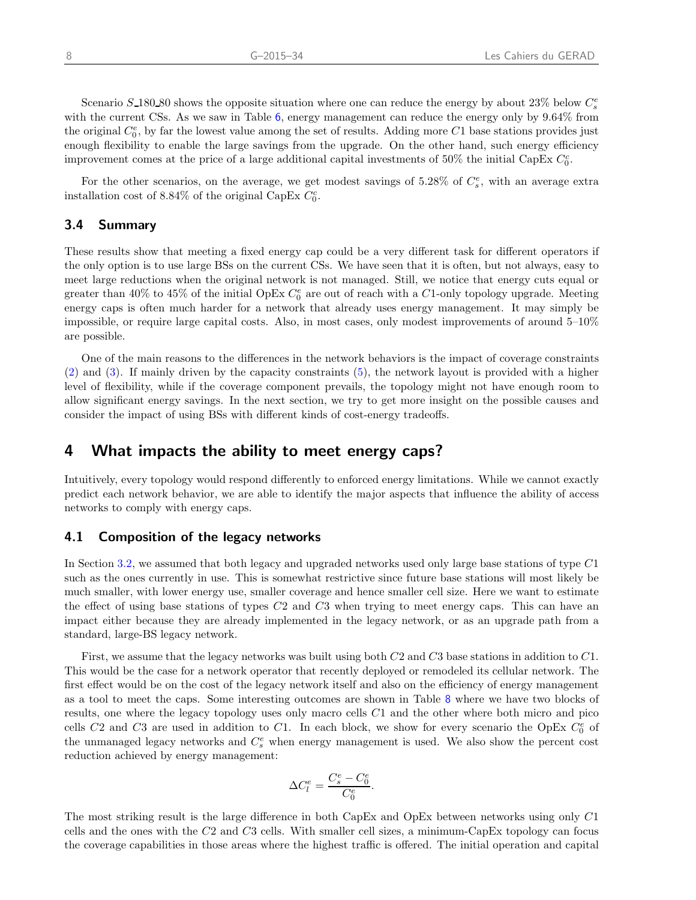Scenario  $S$ -180-80 shows the opposite situation where one can reduce the energy by about 23% below  $C_s^e$ with the current CSs. As we saw in Table [6](#page-9-0), energy management can reduce the energy only by  $9.64\%$  from the original  $C_0^e$ , by far the lowest value among the set of results. Adding more C1 base stations provides just enough flexibility to enable the large savings from the upgrade. On the other hand, such energy efficiency improvement comes at the price of a large additional capital investments of 50% the initial CapEx  $C_0^c$ .

For the other scenarios, on the average, we get modest savings of 5.28% of  $C_s^e$ , with an average extra installation cost of 8.84% of the original CapEx  $C_0^c$ .

### 3.4 Summary

These results show that meeting a fixed energy cap could be a very different task for different operators if the only option is to use large BSs on the current CSs. We have seen that it is often, but not always, easy to meet large reductions when the original network is not managed. Still, we notice that energy cuts equal or greater than 40% to 45% of the initial OpEx  $C_0^e$  are out of reach with a C1-only topology upgrade. Meeting energy caps is often much harder for a network that already uses energy management. It may simply be impossible, or require large capital costs. Also, in most cases, only modest improvements of around 5–10% are possible.

One of the main reasons to the differences in the network behaviors is the impact of coverage constraints [\(2\)](#page-7-2) and [\(3\)](#page-7-3). If mainly driven by the capacity constraints [\(5\)](#page-7-5), the network layout is provided with a higher level of flexibility, while if the coverage component prevails, the topology might not have enough room to allow significant energy savings. In the next section, we try to get more insight on the possible causes and consider the impact of using BSs with different kinds of cost-energy tradeoffs.

### <span id="page-11-0"></span>4 What impacts the ability to meet energy caps?

Intuitively, every topology would respond differently to enforced energy limitations. While we cannot exactly predict each network behavior, we are able to identify the major aspects that influence the ability of access networks to comply with energy caps.

### 4.1 Composition of the legacy networks

In Section [3.2,](#page-8-1) we assumed that both legacy and upgraded networks used only large base stations of type C1 such as the ones currently in use. This is somewhat restrictive since future base stations will most likely be much smaller, with lower energy use, smaller coverage and hence smaller cell size. Here we want to estimate the effect of using base stations of types C2 and C3 when trying to meet energy caps. This can have an impact either because they are already implemented in the legacy network, or as an upgrade path from a standard, large-BS legacy network.

First, we assume that the legacy networks was built using both C2 and C3 base stations in addition to C1. This would be the case for a network operator that recently deployed or remodeled its cellular network. The first effect would be on the cost of the legacy network itself and also on the efficiency of energy management as a tool to meet the caps. Some interesting outcomes are shown in Table [8](#page-12-0) where we have two blocks of results, one where the legacy topology uses only macro cells C1 and the other where both micro and pico cells C2 and C3 are used in addition to C1. In each block, we show for every scenario the OpEx  $C_0^e$  of the unmanaged legacy networks and  $C_s^e$  when energy management is used. We also show the percent cost reduction achieved by energy management:

$$
\Delta C_l^e = \frac{C_s^e - C_0^e}{C_0^e}.
$$

The most striking result is the large difference in both CapEx and OpEx between networks using only C1 cells and the ones with the C2 and C3 cells. With smaller cell sizes, a minimum-CapEx topology can focus the coverage capabilities in those areas where the highest traffic is offered. The initial operation and capital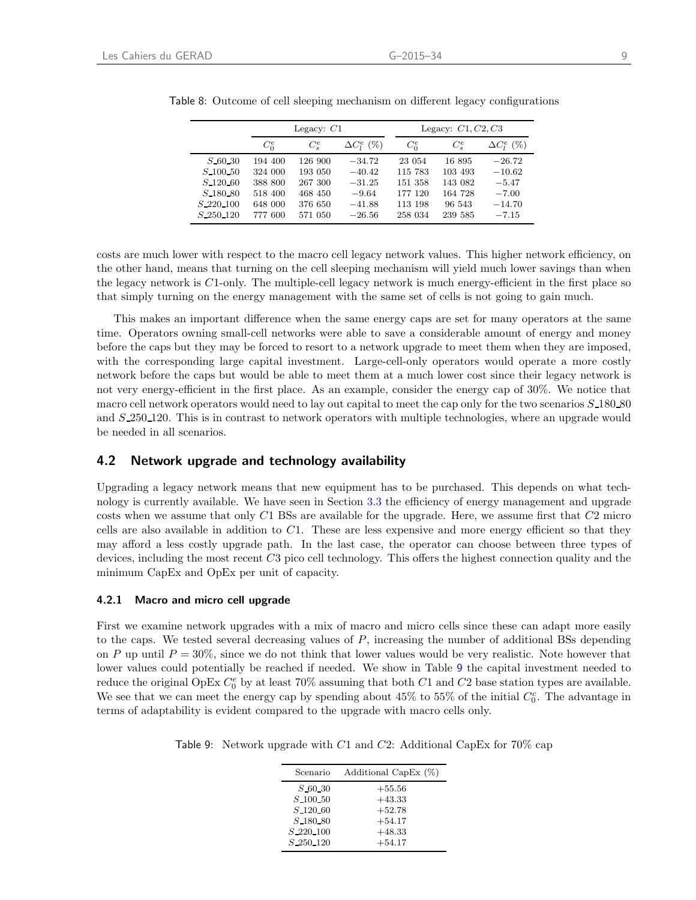|                          |         | Legacy: $C1$ |                    |         | Legacy: $C1, C2, C3$ |                    |
|--------------------------|---------|--------------|--------------------|---------|----------------------|--------------------|
|                          | $C_0^e$ | $C_s^e$      | $\Delta C_l^e$ (%) | $C_0^e$ | $C_s^e$              | $\Delta C_l^e$ (%) |
| $S$ 60 30                | 194 400 | 126 900      | $-34.72$           | 23 054  | 16 895               | $-26.72$           |
| $S$ 100 50               | 324 000 | 193 050      | $-40.42$           | 115 783 | 103 493              | $-10.62$           |
| $S$ <sub>-120</sub> $60$ | 388 800 | 267 300      | $-31.25$           | 151 358 | 143 082              | $-5.47$            |
| $S_180_80$               | 518 400 | 468 450      | $-9.64$            | 177 120 | 164 728              | $-7.00$            |
| $S_{-}220_{-}100$        | 648 000 | 376 650      | $-41.88$           | 113 198 | 96 543               | $-14.70$           |
| $S$ <sub>-250</sub> -120 | 777 600 | 571 050      | $-26.56$           | 258 034 | 239 585              | $-7.15$            |

<span id="page-12-0"></span>Table 8: Outcome of cell sleeping mechanism on different legacy configurations

costs are much lower with respect to the macro cell legacy network values. This higher network efficiency, on the other hand, means that turning on the cell sleeping mechanism will yield much lower savings than when the legacy network is  $C1$ -only. The multiple-cell legacy network is much energy-efficient in the first place so that simply turning on the energy management with the same set of cells is not going to gain much.

This makes an important difference when the same energy caps are set for many operators at the same time. Operators owning small-cell networks were able to save a considerable amount of energy and money before the caps but they may be forced to resort to a network upgrade to meet them when they are imposed, with the corresponding large capital investment. Large-cell-only operators would operate a more costly network before the caps but would be able to meet them at a much lower cost since their legacy network is not very energy-efficient in the first place. As an example, consider the energy cap of 30%. We notice that macro cell network operators would need to lay out capital to meet the cap only for the two scenarios  $S$  180 80 and  $S_2$  250 120. This is in contrast to network operators with multiple technologies, where an upgrade would be needed in all scenarios.

### 4.2 Network upgrade and technology availability

Upgrading a legacy network means that new equipment has to be purchased. This depends on what technology is currently available. We have seen in Section [3.3](#page-9-1) the efficiency of energy management and upgrade costs when we assume that only  $C1$  BSs are available for the upgrade. Here, we assume first that  $C2$  micro cells are also available in addition to C1. These are less expensive and more energy efficient so that they may afford a less costly upgrade path. In the last case, the operator can choose between three types of devices, including the most recent C3 pico cell technology. This offers the highest connection quality and the minimum CapEx and OpEx per unit of capacity.

#### 4.2.1 Macro and micro cell upgrade

First we examine network upgrades with a mix of macro and micro cells since these can adapt more easily to the caps. We tested several decreasing values of  $P$ , increasing the number of additional BSs depending on P up until  $P = 30\%$ , since we do not think that lower values would be very realistic. Note however that lower values could potentially be reached if needed. We show in Table [9](#page-12-1) the capital investment needed to reduce the original OpEx  $C_0^e$  by at least 70% assuming that both C1 and C2 base station types are available. We see that we can meet the energy cap by spending about  $45\%$  to  $55\%$  of the initial  $C_0^c$ . The advantage in terms of adaptability is evident compared to the upgrade with macro cells only.

<span id="page-12-1"></span>Table 9: Network upgrade with C1 and C2: Additional CapEx for 70% cap

| Scenario                 | Additional CapEx (%) |
|--------------------------|----------------------|
| S 60.30                  | $+55.56$             |
| $S$ 100 50               | $+43.33$             |
| $S$ <sub>120</sub> $60$  | $+52.78$             |
| $S_180_80$               | $+54.17$             |
| $S_{-}220_{-}100$        | $+48.33$             |
| $S$ <sub>-250</sub> -120 | $+54.17$             |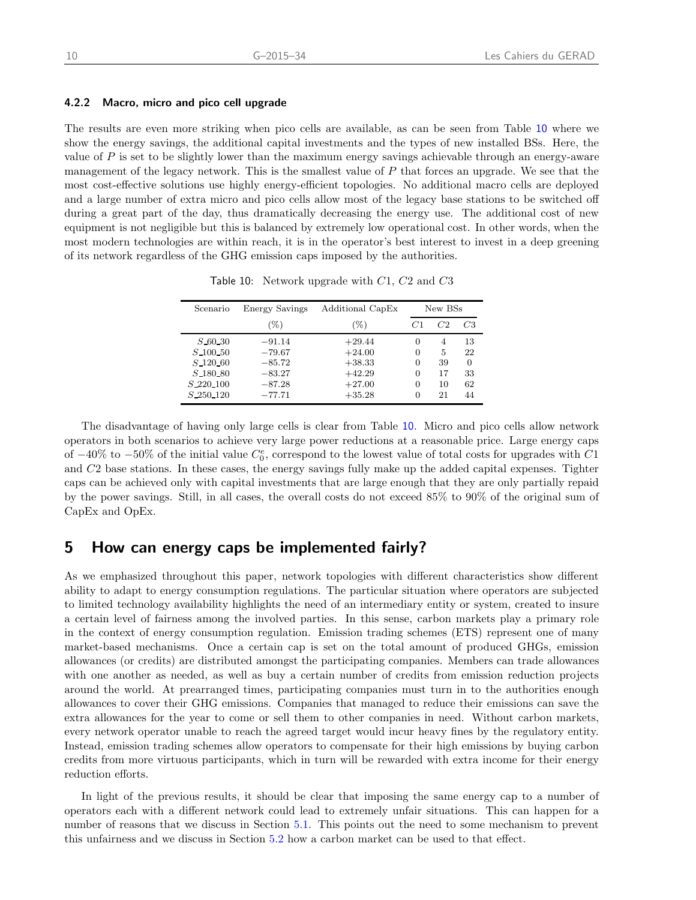#### 4.2.2 Macro, micro and pico cell upgrade

The results are even more striking when pico cells are available, as can be seen from Table [10](#page-13-1) where we show the energy savings, the additional capital investments and the types of new installed BSs. Here, the value of  $P$  is set to be slightly lower than the maximum energy savings achievable through an energy-aware management of the legacy network. This is the smallest value of  $P$  that forces an upgrade. We see that the most cost-effective solutions use highly energy-efficient topologies. No additional macro cells are deployed and a large number of extra micro and pico cells allow most of the legacy base stations to be switched off during a great part of the day, thus dramatically decreasing the energy use. The additional cost of new equipment is not negligible but this is balanced by extremely low operational cost. In other words, when the most modern technologies are within reach, it is in the operator's best interest to invest in a deep greening of its network regardless of the GHG emission caps imposed by the authorities.

Table 10: Network upgrade with C1, C2 and C3

<span id="page-13-1"></span>

| Scenario    | Energy Savings | Additional CapEx |      | New BSs |    |
|-------------|----------------|------------------|------|---------|----|
|             | (%)            | $(\%)$           | - 71 | C2      | C3 |
| $S$ 60 30   | $-91.14$       | $+29.44$         | 0    | 4       | 13 |
| $S$ 100 50  | $-79.67$       | $+24.00$         | 0    | 5       | 22 |
| $S$ 120 60  | $-85.72$       | $+38.33$         | 0    | 39      | 0  |
| $S$ 180 80  | $-83.27$       | $+42.29$         | 0    | 17      | 33 |
| $S_220_100$ | $-87.28$       | $+27.00$         | 0    | 10      | 62 |
| S 250 120   | $-77.71$       | $+35.28$         | 0    | 21      | 44 |

The disadvantage of having only large cells is clear from Table [10](#page-13-1). Micro and pico cells allow network operators in both scenarios to achieve very large power reductions at a reasonable price. Large energy caps of  $-40\%$  to  $-50\%$  of the initial value  $C_0^e$ , correspond to the lowest value of total costs for upgrades with C1 and C2 base stations. In these cases, the energy savings fully make up the added capital expenses. Tighter caps can be achieved only with capital investments that are large enough that they are only partially repaid by the power savings. Still, in all cases, the overall costs do not exceed 85% to 90% of the original sum of CapEx and OpEx.

### <span id="page-13-0"></span>5 How can energy caps be implemented fairly?

As we emphasized throughout this paper, network topologies with different characteristics show different ability to adapt to energy consumption regulations. The particular situation where operators are subjected to limited technology availability highlights the need of an intermediary entity or system, created to insure a certain level of fairness among the involved parties. In this sense, carbon markets play a primary role in the context of energy consumption regulation. Emission trading schemes (ETS) represent one of many market-based mechanisms. Once a certain cap is set on the total amount of produced GHGs, emission allowances (or credits) are distributed amongst the participating companies. Members can trade allowances with one another as needed, as well as buy a certain number of credits from emission reduction projects around the world. At prearranged times, participating companies must turn in to the authorities enough allowances to cover their GHG emissions. Companies that managed to reduce their emissions can save the extra allowances for the year to come or sell them to other companies in need. Without carbon markets, every network operator unable to reach the agreed target would incur heavy fines by the regulatory entity. Instead, emission trading schemes allow operators to compensate for their high emissions by buying carbon credits from more virtuous participants, which in turn will be rewarded with extra income for their energy reduction efforts.

In light of the previous results, it should be clear that imposing the same energy cap to a number of operators each with a different network could lead to extremely unfair situations. This can happen for a number of reasons that we discuss in Section [5.1.](#page-14-0) This points out the need to some mechanism to prevent this unfairness and we discuss in Section [5.2](#page-14-1) how a carbon market can be used to that effect.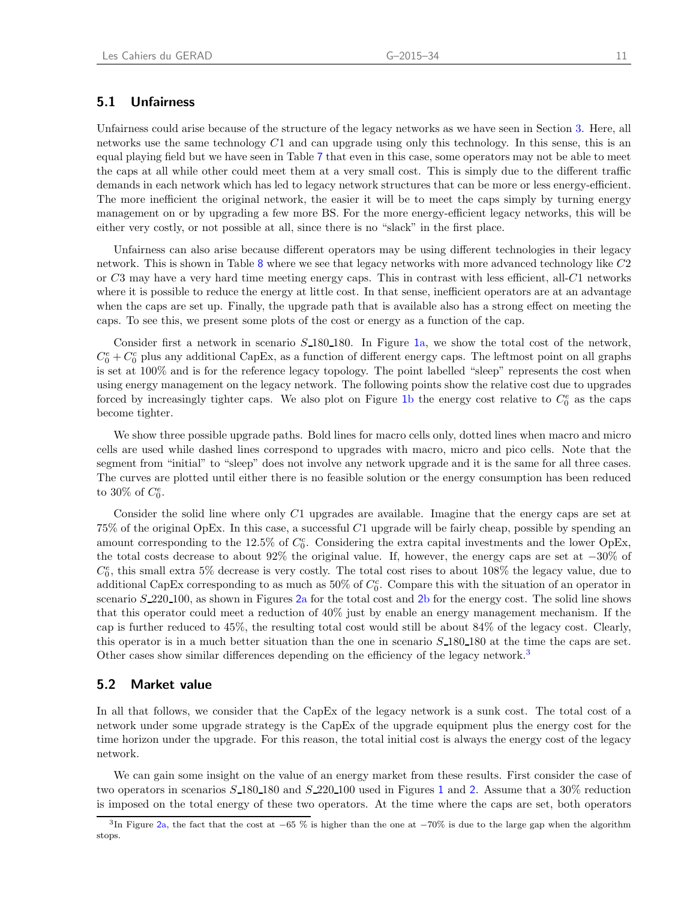### <span id="page-14-0"></span>5.1 Unfairness

Unfairness could arise because of the structure of the legacy networks as we have seen in Section [3.](#page-8-0) Here, all networks use the same technology  $C1$  and can upgrade using only this technology. In this sense, this is an equal playing field but we have seen in Table [7](#page-10-0) that even in this case, some operators may not be able to meet the caps at all while other could meet them at a very small cost. This is simply due to the different traffic demands in each network which has led to legacy network structures that can be more or less energy-efficient. The more inefficient the original network, the easier it will be to meet the caps simply by turning energy management on or by upgrading a few more BS. For the more energy-efficient legacy networks, this will be either very costly, or not possible at all, since there is no "slack" in the first place.

Unfairness can also arise because different operators may be using different technologies in their legacy network. This is shown in Table [8](#page-12-0) where we see that legacy networks with more advanced technology like C2 or  $C3$  may have a very hard time meeting energy caps. This in contrast with less efficient, all- $C1$  networks where it is possible to reduce the energy at little cost. In that sense, inefficient operators are at an advantage when the caps are set up. Finally, the upgrade path that is available also has a strong effect on meeting the caps. To see this, we present some plots of the cost or energy as a function of the cap.

Consider first a network in scenario  $S$  180 180. In Figure 1[a,](#page-15-0) we show the total cost of the network,  $C_0^e + C_0^c$  plus any additional CapEx, as a function of different energy caps. The leftmost point on all graphs is set at 100% and is for the reference legacy topology. The point labelled "sleep" represents the cost when using energy management on the legacy network. The following points show the relative cost due to upgrades forced [b](#page-15-0)y increasingly tighter caps. We also plot on Figure 1b the energy cost relative to  $C_0^e$  as the caps become tighter.

We show three possible upgrade paths. Bold lines for macro cells only, dotted lines when macro and micro cells are used while dashed lines correspond to upgrades with macro, micro and pico cells. Note that the segment from "initial" to "sleep" does not involve any network upgrade and it is the same for all three cases. The curves are plotted until either there is no feasible solution or the energy consumption has been reduced to 30% of  $C_0^e$ .

Consider the solid line where only C1 upgrades are available. Imagine that the energy caps are set at 75% of the original OpEx. In this case, a successful C1 upgrade will be fairly cheap, possible by spending an amount corresponding to the 12.5% of  $C_0^c$ . Considering the extra capital investments and the lower OpEx, the total costs decrease to about 92% the original value. If, however, the energy caps are set at −30% of  $C_0^e$ , this small extra 5% decrease is very costly. The total cost rises to about 108% the legacy value, due to additional CapEx corresponding to as much as  $50\%$  of  $C_0^c$ . Compare this with the situation of an operator in scenario  $S$  [2](#page-16-0)20 100, as shown in Figures 2a for the total cost and 2[b](#page-16-0) for the energy cost. The solid line shows that this operator could meet a reduction of 40% just by enable an energy management mechanism. If the cap is further reduced to 45%, the resulting total cost would still be about 84% of the legacy cost. Clearly, this operator is in a much better situation than the one in scenario  $S$ -180-180 at the time the caps are set. Other cases show similar differences depending on the efficiency of the legacy network.<sup>[3](#page-14-2)</sup>

### <span id="page-14-1"></span>5.2 Market value

In all that follows, we consider that the CapEx of the legacy network is a sunk cost. The total cost of a network under some upgrade strategy is the CapEx of the upgrade equipment plus the energy cost for the time horizon under the upgrade. For this reason, the total initial cost is always the energy cost of the legacy network.

We can gain some insight on the value of an energy market from these results. First consider the case of two operators in scenarios  $S$  [1](#page-15-0)80 180 and  $S$  [2](#page-16-0)20 100 used in Figures 1 and 2. Assume that a 30% reduction is imposed on the total energy of these two operators. At the time where the caps are set, both operators

<span id="page-14-2"></span><sup>&</sup>lt;sup>3</sup>In Figure 2[a,](#page-16-0) the fact that the cost at  $-65\%$  is higher than the one at  $-70\%$  is due to the large gap when the algorithm stops.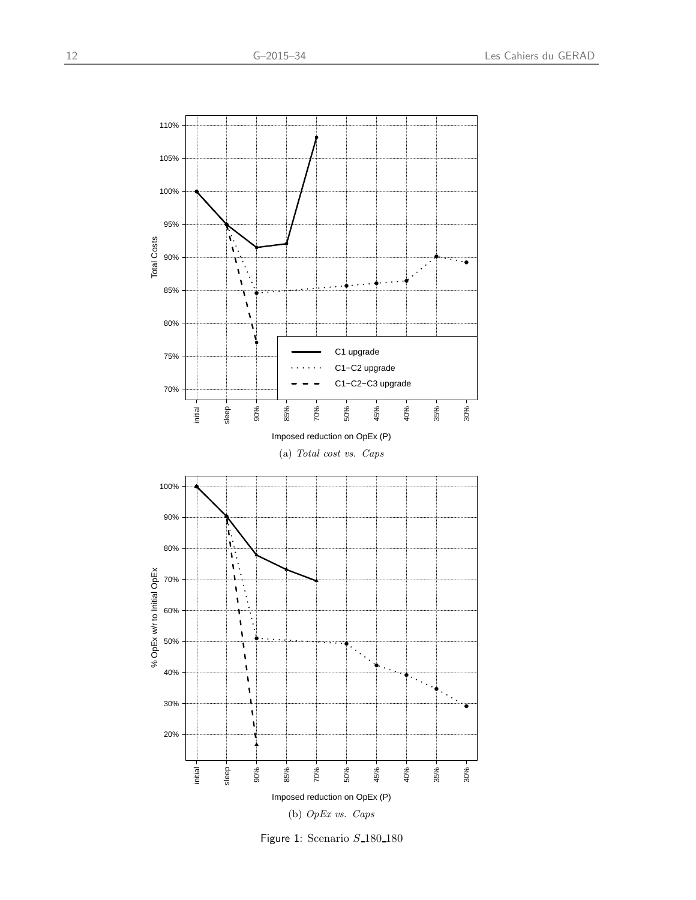<span id="page-15-0"></span>

Figure 1: Scenario S<sub>-180-180</sub>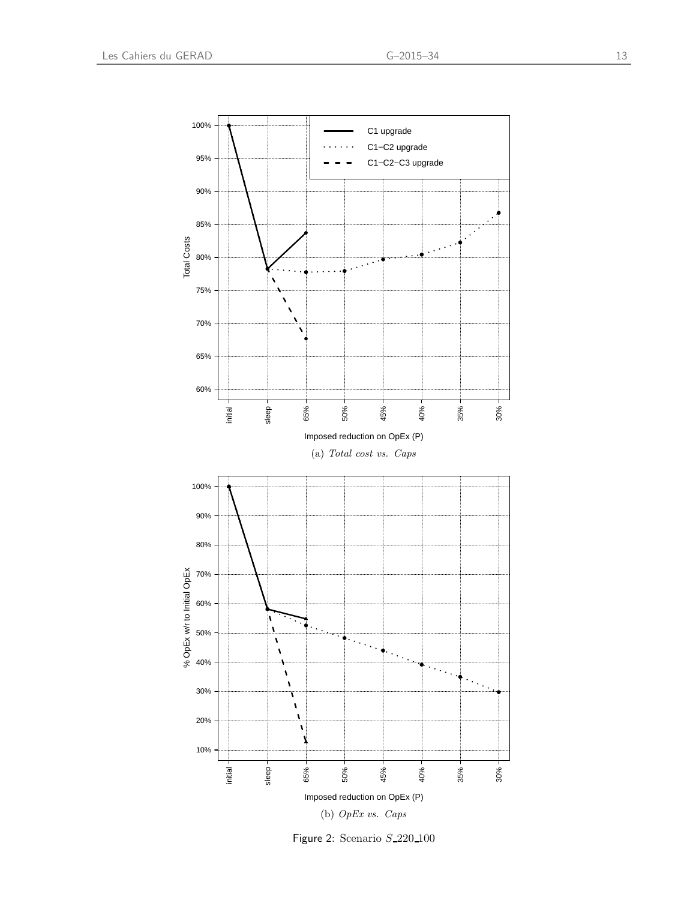<span id="page-16-0"></span>

(b) OpEx vs. Caps

Figure 2: Scenario S 220 100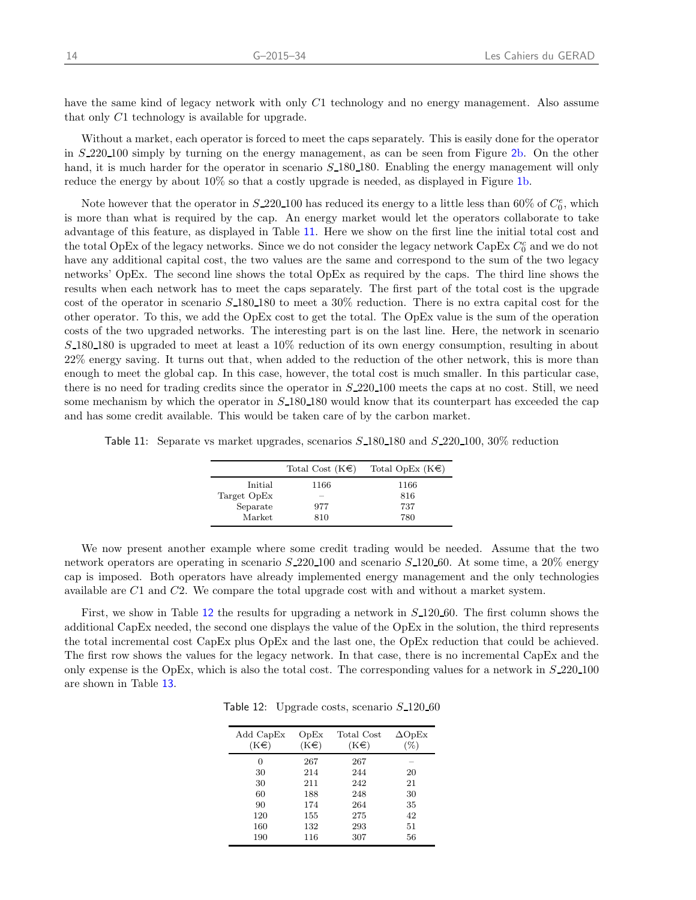have the same kind of legacy network with only C1 technology and no energy management. Also assume that only C1 technology is available for upgrade.

Without a market, each operator is forced to meet the caps separately. This is easily done for the operator in S 220 100 simply by turning on the energy management, as can be seen from Figure 2[b.](#page-16-0) On the other hand, it is much harder for the operator in scenario  $S$  180 180. Enabling the energy management will only reduce the energy by about 10% so that a costly upgrade is needed, as displayed in Figure 1[b.](#page-15-0)

Note however that the operator in  $S_220_100$  has reduced its energy to a little less than 60% of  $C_0^e$ , which is more than what is required by the cap. An energy market would let the operators collaborate to take advantage of this feature, as displayed in Table [11](#page-17-0). Here we show on the first line the initial total cost and the total OpEx of the legacy networks. Since we do not consider the legacy network CapEx  $C_0^c$  and we do not have any additional capital cost, the two values are the same and correspond to the sum of the two legacy networks' OpEx. The second line shows the total OpEx as required by the caps. The third line shows the results when each network has to meet the caps separately. The first part of the total cost is the upgrade cost of the operator in scenario  $S_{180}180$  to meet a 30% reduction. There is no extra capital cost for the other operator. To this, we add the OpEx cost to get the total. The OpEx value is the sum of the operation costs of the two upgraded networks. The interesting part is on the last line. Here, the network in scenario  $S$ -180-180 is upgraded to meet at least a 10% reduction of its own energy consumption, resulting in about 22% energy saving. It turns out that, when added to the reduction of the other network, this is more than enough to meet the global cap. In this case, however, the total cost is much smaller. In this particular case, there is no need for trading credits since the operator in  $S$ -220-100 meets the caps at no cost. Still, we need some mechanism by which the operator in  $S_{180180}$  would know that its counterpart has exceeded the cap and has some credit available. This would be taken care of by the carbon market.

<span id="page-17-0"></span>Table 11: Separate vs market upgrades, scenarios  $S$ -180-180 and  $S$ -220-100, 30% reduction

|             | Total Cost $(K \in \mathbb{C})$ | Total OpEx $(K \in \mathbb{C})$ |
|-------------|---------------------------------|---------------------------------|
| Initial     | 1166                            | 1166                            |
| Target OpEx | _                               | 816                             |
| Separate    | 977                             | 737                             |
| Market      | 810                             | 780                             |

We now present another example where some credit trading would be needed. Assume that the two network operators are operating in scenario  $S$ -220-100 and scenario  $S$ -120-60. At some time, a 20% energy cap is imposed. Both operators have already implemented energy management and the only technologies available are C1 and C2. We compare the total upgrade cost with and without a market system.

<span id="page-17-1"></span>First, we show in Table [12](#page-17-1) the results for upgrading a network in  $S$ -120-60. The first column shows the additional CapEx needed, the second one displays the value of the OpEx in the solution, the third represents the total incremental cost CapEx plus OpEx and the last one, the OpEx reduction that could be achieved. The first row shows the values for the legacy network. In that case, there is no incremental CapEx and the only expense is the OpEx, which is also the total cost. The corresponding values for a network in  $S$  220-100 are shown in Table [13](#page-18-0).

|  | Table 12: Upgrade costs, scenario $S$ 120.60 |  |  |  |
|--|----------------------------------------------|--|--|--|
|--|----------------------------------------------|--|--|--|

| Add CapEx<br>$(K \in \mathcal{E})$ | OpEx<br>$(K \in \mathcal{E})$ | Total Cost<br>$(K \in \mathcal{E})$ | $\Delta$ OpEx<br>$(\%)$ |
|------------------------------------|-------------------------------|-------------------------------------|-------------------------|
| 0                                  | 267                           | 267                                 |                         |
| 30                                 | 214                           | 244                                 | 20                      |
| 30                                 | 211                           | 242                                 | 21                      |
| 60                                 | 188                           | 248                                 | 30                      |
| 90                                 | 174                           | 264                                 | 35                      |
| 120                                | 155                           | 275                                 | 42                      |
| 160                                | 132                           | 293                                 | 51                      |
| 190                                | 116                           | 307                                 | 56                      |
|                                    |                               |                                     |                         |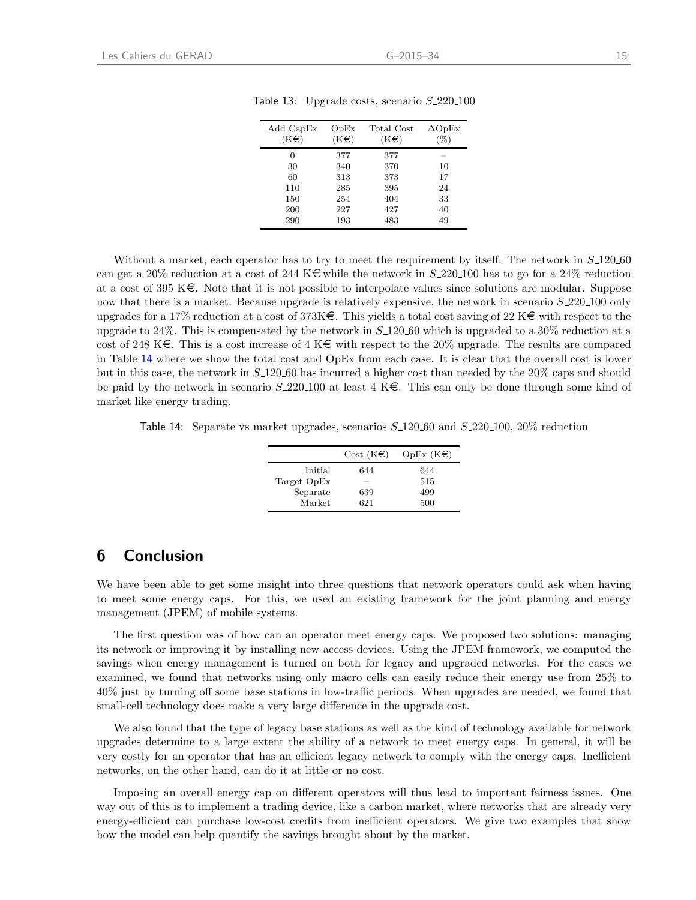| Add CapEx<br>$(K \in \mathcal{E})$ | OpEx<br>$(K \in \mathcal{E})$ | Total Cost<br>$(K \in \mathcal{E})$ | $\Delta$ OpEx<br>'%) |
|------------------------------------|-------------------------------|-------------------------------------|----------------------|
| 0                                  | 377                           | 377                                 |                      |
| 30                                 | 340                           | 370                                 | 10                   |
| 60                                 | 313                           | 373                                 | 17                   |
| 110                                | 285                           | 395                                 | 24                   |
| 150                                | 254                           | 404                                 | 33                   |
| 200                                | 227                           | 427                                 | 40                   |
| 290                                | 193                           | 483                                 | 49                   |

<span id="page-18-0"></span>Table 13: Upgrade costs, scenario  $S_220_100$ 

Without a market, each operator has to try to meet the requirement by itself. The network in  $S_{12}120_{10}$ can get a 20% reduction at a cost of 244 K $\in$  while the network in S 220 100 has to go for a 24% reduction at a cost of 395 K $\epsilon$ . Note that it is not possible to interpolate values since solutions are modular. Suppose now that there is a market. Because upgrade is relatively expensive, the network in scenario  $S<sub>-</sub>220-100$  only upgrades for a 17% reduction at a cost of 373K $\epsilon$ . This yields a total cost saving of 22 K $\epsilon$  with respect to the upgrade to 24%. This is compensated by the network in  $S_{120}$  followhich is upgraded to a 30% reduction at a cost of 248 K $\epsilon$ . This is a cost increase of 4 K $\epsilon$  with respect to the 20% upgrade. The results are compared in Table [14](#page-18-1) where we show the total cost and OpEx from each case. It is clear that the overall cost is lower but in this case, the network in S 120 60 has incurred a higher cost than needed by the 20% caps and should be paid by the network in scenario  $S$ -220-100 at least 4 K $\epsilon$ . This can only be done through some kind of market like energy trading.

<span id="page-18-1"></span>Table 14: Separate vs market upgrades, scenarios  $S_{12}120_{100}$  and  $S_{22}20_{100}$ ,  $20\%$  reduction

|             | Cost $(K \in \mathbb{R})$ | OpEx $(K \in \mathbb{C})$ |
|-------------|---------------------------|---------------------------|
| Initial     | 644                       | 644                       |
| Target OpEx | -                         | 515                       |
| Separate    | 639                       | 499                       |
| Market      | 621                       | 500                       |

## 6 Conclusion

We have been able to get some insight into three questions that network operators could ask when having to meet some energy caps. For this, we used an existing framework for the joint planning and energy management (JPEM) of mobile systems.

The first question was of how can an operator meet energy caps. We proposed two solutions: managing its network or improving it by installing new access devices. Using the JPEM framework, we computed the savings when energy management is turned on both for legacy and upgraded networks. For the cases we examined, we found that networks using only macro cells can easily reduce their energy use from 25% to 40% just by turning off some base stations in low-traffic periods. When upgrades are needed, we found that small-cell technology does make a very large difference in the upgrade cost.

We also found that the type of legacy base stations as well as the kind of technology available for network upgrades determine to a large extent the ability of a network to meet energy caps. In general, it will be very costly for an operator that has an efficient legacy network to comply with the energy caps. Inefficient networks, on the other hand, can do it at little or no cost.

Imposing an overall energy cap on different operators will thus lead to important fairness issues. One way out of this is to implement a trading device, like a carbon market, where networks that are already very energy-efficient can purchase low-cost credits from inefficient operators. We give two examples that show how the model can help quantify the savings brought about by the market.